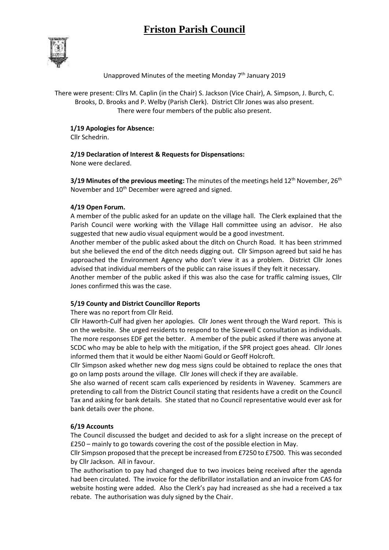# **Friston Parish Council**



### Unapproved Minutes of the meeting Monday 7<sup>th</sup> January 2019

There were present: Cllrs M. Caplin (in the Chair) S. Jackson (Vice Chair), A. Simpson, J. Burch, C. Brooks, D. Brooks and P. Welby (Parish Clerk). District Cllr Jones was also present. There were four members of the public also present.

### **1/19 Apologies for Absence:**

Cllr Schedrin.

### **2/19 Declaration of Interest & Requests for Dispensations:**

None were declared.

**3/19 Minutes of the previous meeting:** The minutes of the meetings held 12<sup>th</sup> November, 26<sup>th</sup> November and 10<sup>th</sup> December were agreed and signed.

### **4/19 Open Forum.**

A member of the public asked for an update on the village hall. The Clerk explained that the Parish Council were working with the Village Hall committee using an advisor. He also suggested that new audio visual equipment would be a good investment.

Another member of the public asked about the ditch on Church Road. It has been strimmed but she believed the end of the ditch needs digging out. Cllr Simpson agreed but said he has approached the Environment Agency who don't view it as a problem. District Cllr Jones advised that individual members of the public can raise issues if they felt it necessary.

Another member of the public asked if this was also the case for traffic calming issues, Cllr Jones confirmed this was the case.

### **5/19 County and District Councillor Reports**

There was no report from Cllr Reid.

Cllr Haworth-Culf had given her apologies. Cllr Jones went through the Ward report. This is on the website. She urged residents to respond to the Sizewell C consultation as individuals. The more responses EDF get the better. A member of the pubic asked if there was anyone at SCDC who may be able to help with the mitigation, if the SPR project goes ahead. Cllr Jones informed them that it would be either Naomi Gould or Geoff Holcroft.

Cllr Simpson asked whether new dog mess signs could be obtained to replace the ones that go on lamp posts around the village. Cllr Jones will check if they are available.

She also warned of recent scam calls experienced by residents in Waveney. Scammers are pretending to call from the District Council stating that residents have a credit on the Council Tax and asking for bank details. She stated that no Council representative would ever ask for bank details over the phone.

### **6/19 Accounts**

The Council discussed the budget and decided to ask for a slight increase on the precept of £250 – mainly to go towards covering the cost of the possible election in May.

Cllr Simpson proposed that the precept be increased from £7250 to £7500. This was seconded by Cllr Jackson. All in favour.

The authorisation to pay had changed due to two invoices being received after the agenda had been circulated. The invoice for the defibrillator installation and an invoice from CAS for website hosting were added. Also the Clerk's pay had increased as she had a received a tax rebate. The authorisation was duly signed by the Chair.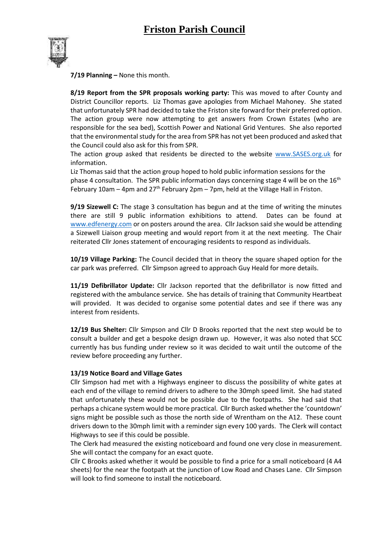

**7/19 Planning –** None this month.

**8/19 Report from the SPR proposals working party:** This was moved to after County and District Councillor reports. Liz Thomas gave apologies from Michael Mahoney. She stated that unfortunately SPR had decided to take the Friston site forward for their preferred option. The action group were now attempting to get answers from Crown Estates (who are responsible for the sea bed), Scottish Power and National Grid Ventures. She also reported that the environmental study for the area from SPR has not yet been produced and asked that the Council could also ask for this from SPR.

The action group asked that residents be directed to the website [www.SASES.org.uk](http://www.sases.org.uk/) for information.

Liz Thomas said that the action group hoped to hold public information sessions for the phase 4 consultation. The SPR public information days concerning stage 4 will be on the  $16<sup>th</sup>$ February 10am – 4pm and 27<sup>th</sup> February 2pm – 7pm, held at the Village Hall in Friston.

**9/19 Sizewell C:** The stage 3 consultation has begun and at the time of writing the minutes there are still 9 public information exhibitions to attend. Dates can be found at [www.edfenergy.com](http://www.edfenergy.com/) or on posters around the area. Cllr Jackson said she would be attending a Sizewell Liaison group meeting and would report from it at the next meeting. The Chair reiterated Cllr Jones statement of encouraging residents to respond as individuals.

**10/19 Village Parking:** The Council decided that in theory the square shaped option for the car park was preferred. Cllr Simpson agreed to approach Guy Heald for more details.

**11/19 Defibrillator Update:** Cllr Jackson reported that the defibrillator is now fitted and registered with the ambulance service. She has details of training that Community Heartbeat will provided. It was decided to organise some potential dates and see if there was any interest from residents.

**12/19 Bus Shelter:** Cllr Simpson and Cllr D Brooks reported that the next step would be to consult a builder and get a bespoke design drawn up. However, it was also noted that SCC currently has bus funding under review so it was decided to wait until the outcome of the review before proceeding any further.

#### **13/19 Notice Board and Village Gates**

Cllr Simpson had met with a Highways engineer to discuss the possibility of white gates at each end of the village to remind drivers to adhere to the 30mph speed limit. She had stated that unfortunately these would not be possible due to the footpaths. She had said that perhaps a chicane system would be more practical. Cllr Burch asked whether the 'countdown' signs might be possible such as those the north side of Wrentham on the A12. These count drivers down to the 30mph limit with a reminder sign every 100 yards. The Clerk will contact Highways to see if this could be possible.

The Clerk had measured the existing noticeboard and found one very close in measurement. She will contact the company for an exact quote.

Cllr C Brooks asked whether it would be possible to find a price for a small noticeboard (4 A4 sheets) for the near the footpath at the junction of Low Road and Chases Lane. Cllr Simpson will look to find someone to install the noticeboard.